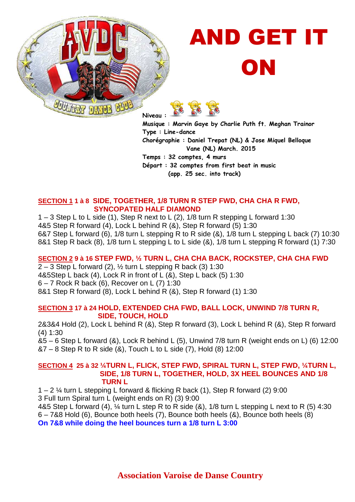

# AND GET IT

ON

**Musique : Marvin Gaye by Charlie Puth ft. Meghan Trainor Type : Line-dance Chorégraphie : Daniel Trepat (NL) & Jose Miquel Belloque Vane (NL) March. 2015 Temps : 32 comptes, 4 murs Départ : 32 comptes from first beat in music (app. 25 sec. into track)** 

#### **SECTION 1 1 à 8 SIDE, TOGETHER, 1/8 TURN R STEP FWD, CHA CHA R FWD, SYNCOPATED HALF DIAMOND**

 $1 - 3$  Step L to L side (1), Step R next to L (2),  $1/8$  turn R stepping L forward 1:30 4&5 Step R forward (4), Lock L behind R (&), Step R forward (5) 1:30 6&7 Step L forward (6), 1/8 turn L stepping R to R side (&), 1/8 turn L stepping L back (7) 10:30 8&1 Step R back (8), 1/8 turn L stepping L to L side (&), 1/8 turn L stepping R forward (1) 7:30

### **SECTION 2 9 à 16 STEP FWD, ½ TURN L, CHA CHA BACK, ROCKSTEP, CHA CHA FWD**

 $2 - 3$  Step L forward (2),  $\frac{1}{2}$  turn L stepping R back (3) 1:30 4&5Step L back (4), Lock R in front of L (&), Step L back (5) 1:30 6 – 7 Rock R back (6), Recover on L (7) 1:30 8&1 Step R forward (8), Lock L behind R (&), Step R forward (1) 1:30

#### **SECTION 3 17 à 24 HOLD, EXTENDED CHA FWD, BALL LOCK, UNWIND 7/8 TURN R, SIDE, TOUCH, HOLD**

2&3&4 Hold (2), Lock L behind R (&), Step R forward (3), Lock L behind R (&), Step R forward (4) 1:30

&5 – 6 Step L forward (&), Lock R behind L (5), Unwind 7/8 turn R (weight ends on L) (6) 12:00 &7 – 8 Step R to R side (&), Touch L to L side (7), Hold (8) 12:00

#### **SECTION 4 25 à 32 ¼TURN L, FLICK, STEP FWD, SPIRAL TURN L, STEP FWD, ¼TURN L, SIDE, 1/8 TURN L, TOGETHER, HOLD, 3X HEEL BOUNCES AND 1/8 TURN L**

1 – 2 ¼ turn L stepping L forward & flicking R back (1), Step R forward (2) 9:00 3 Full turn Spiral turn L (weight ends on R) (3) 9:00

4&5 Step L forward (4), ¼ turn L step R to R side (&), 1/8 turn L stepping L next to R (5) 4:30 6 – 7&8 Hold (6), Bounce both heels (7), Bounce both heels (&), Bounce both heels (8) **On 7&8 while doing the heel bounces turn a 1/8 turn L 3:00**